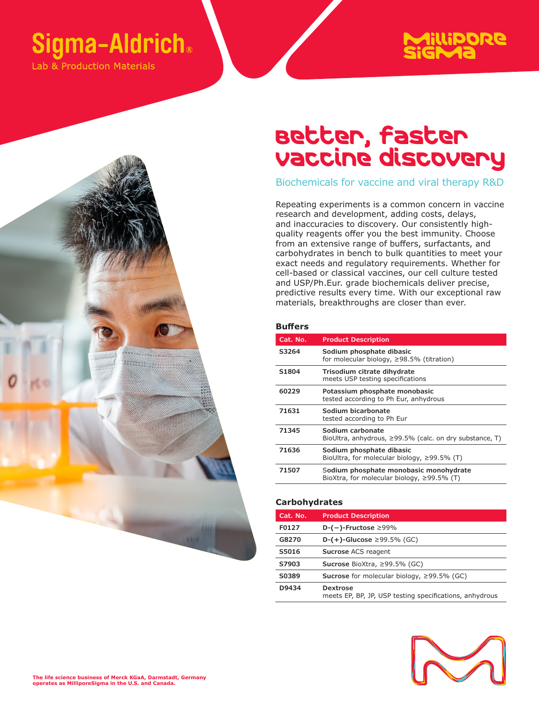## **Sigma-Aldrich**®

Lab & Production Materials

# Millipore<br>Sig**Ma**

### Better, faster vaccine discovery

Biochemicals for vaccine and viral therapy R&D

Repeating experiments is a common concern in vaccine research and development, adding costs, delays, and inaccuracies to discovery. Our consistently highquality reagents offer you the best immunity. Choose from an extensive range of buffers, surfactants, and carbohydrates in bench to bulk quantities to meet your exact needs and regulatory requirements. Whether for cell-based or classical vaccines, our cell culture tested and USP/Ph.Eur. grade biochemicals deliver precise, predictive results every time. With our exceptional raw materials, breakthroughs are closer than ever.

#### **Buffers**

| Cat. No.          | <b>Product Description</b>                                                                 |
|-------------------|--------------------------------------------------------------------------------------------|
| S3264             | Sodium phosphate dibasic<br>for molecular biology, $\geq$ 98.5% (titration)                |
| S <sub>1804</sub> | Trisodium citrate dihydrate<br>meets USP testing specifications                            |
| 60229             | Potassium phosphate monobasic<br>tested according to Ph Eur, anhydrous                     |
| 71631             | Sodium bicarbonate<br>tested according to Ph Eur                                           |
| 71345             | Sodium carbonate<br>BioUltra, anhydrous, $\geq$ 99.5% (calc. on dry substance, T)          |
| 71636             | Sodium phosphate dibasic<br>BioUltra, for molecular biology, $\geq$ 99.5% (T)              |
| 71507             | Sodium phosphate monobasic monohydrate<br>BioXtra, for molecular biology, $\geq$ 99.5% (T) |

#### **Carbohydrates**

| Cat. No. | <b>Product Description</b>                                                 |
|----------|----------------------------------------------------------------------------|
| F0127    | D- $(-)$ -Fructose $\geq 99\%$                                             |
| G8270    | <b>D-(+)-Glucose</b> ≥99.5% (GC)                                           |
| S5016    | Sucrose ACS reagent                                                        |
| S7903    | Sucrose BioXtra, $\geq$ 99.5% (GC)                                         |
| S0389    | <b>Sucrose</b> for molecular biology, $\geq$ 99.5% (GC)                    |
| D9434    | <b>Dextrose</b><br>meets EP, BP, JP, USP testing specifications, anhydrous |